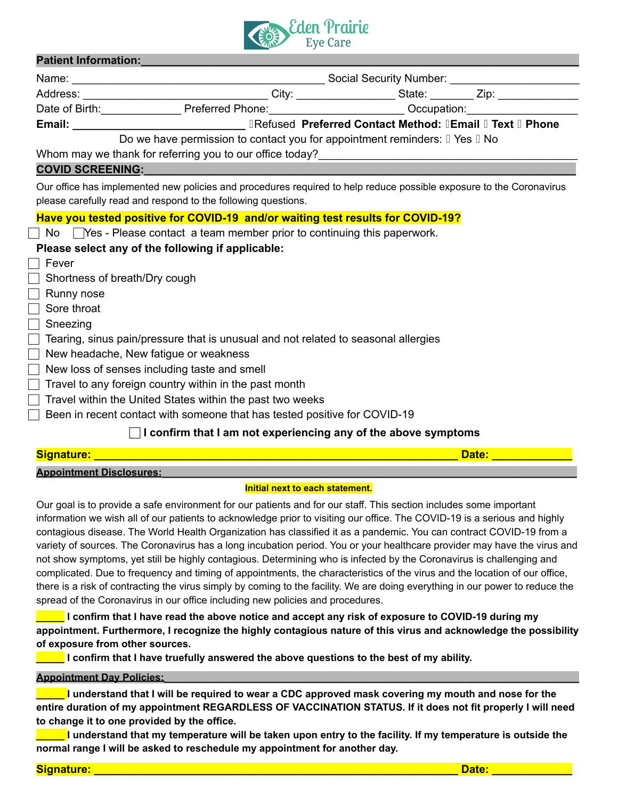

# **Patient Information:**

|                               | Address: __________________________________City: ____________________State: _________Zip: _______________                                                                            |  |  |  |  |  |  |  |  |
|-------------------------------|--------------------------------------------------------------------------------------------------------------------------------------------------------------------------------------|--|--|--|--|--|--|--|--|
|                               | Date of Birth: Preferred Phone: Cambridge Cocupation: Contract Detection Preferred Phone:                                                                                            |  |  |  |  |  |  |  |  |
|                               | Email: ___________________________________ IRefused Preferred Contact Method: IEmail I Text I Phone                                                                                  |  |  |  |  |  |  |  |  |
|                               | Do we have permission to contact you for appointment reminders: I Yes I No                                                                                                           |  |  |  |  |  |  |  |  |
|                               |                                                                                                                                                                                      |  |  |  |  |  |  |  |  |
|                               | COVID SCREENING: WE ARREST MANAGER AND A COVID-                                                                                                                                      |  |  |  |  |  |  |  |  |
|                               | Our office has implemented new policies and procedures required to help reduce possible exposure to the Coronavirus<br>please carefully read and respond to the following questions. |  |  |  |  |  |  |  |  |
|                               | Have you tested positive for COVID-19 and/or waiting test results for COVID-19?                                                                                                      |  |  |  |  |  |  |  |  |
|                               | $\Box$ No $\Box$ Yes - Please contact a team member prior to continuing this paperwork.                                                                                              |  |  |  |  |  |  |  |  |
|                               | Please select any of the following if applicable:                                                                                                                                    |  |  |  |  |  |  |  |  |
| Fever                         |                                                                                                                                                                                      |  |  |  |  |  |  |  |  |
| Shortness of breath/Dry cough |                                                                                                                                                                                      |  |  |  |  |  |  |  |  |
| Runny nose                    |                                                                                                                                                                                      |  |  |  |  |  |  |  |  |
| Sore throat                   |                                                                                                                                                                                      |  |  |  |  |  |  |  |  |
| Sneezing                      |                                                                                                                                                                                      |  |  |  |  |  |  |  |  |
|                               | Tearing, sinus pain/pressure that is unusual and not related to seasonal allergies                                                                                                   |  |  |  |  |  |  |  |  |
|                               | New headache, New fatigue or weakness                                                                                                                                                |  |  |  |  |  |  |  |  |
|                               | New loss of senses including taste and smell                                                                                                                                         |  |  |  |  |  |  |  |  |
| $\vert \ \ \vert$             | Travel to any foreign country within in the past month                                                                                                                               |  |  |  |  |  |  |  |  |
|                               | Travel within the United States within the past two weeks                                                                                                                            |  |  |  |  |  |  |  |  |
|                               | Been in recent contact with someone that has tested positive for COVID-19                                                                                                            |  |  |  |  |  |  |  |  |
|                               | I confirm that I am not experiencing any of the above symptoms                                                                                                                       |  |  |  |  |  |  |  |  |

| Signature:                      |  |
|---------------------------------|--|
| <b>Annointment Disclosures:</b> |  |

# **Initial next to each statement.**

Our goal is to provide a safe environment for our patients and for our staff. This section includes some important information we wish all of our patients to acknowledge prior to visiting our office. The COVID-19 is a serious and highly contagious disease. The World Health Organization has classified it as a pandemic. You can contract COVID-19 from a variety of sources. The Coronavirus has a long incubation period. You or your healthcare provider may have the virus and not show symptoms, yet still be highly contagious. Determining who is infected by the Coronavirus is challenging and complicated. Due to frequency and timing of appointments, the characteristics of the virus and the location of our office, there is a risk of contracting the virus simply by coming to the facility. We are doing everything in our power to reduce the spread of the Coronavirus in our office including new policies and procedures.

I confirm that I have read the above notice and accept any risk of exposure to COVID-19 during my **appointment. Furthermore, I recognize the highly contagious nature of this virus and acknowledge the possibility of exposure from other sources.**

**\_\_\_\_\_ I confirm that I have truefully answered the above questions to the best of my ability.**

# **Appointment Day Policies:\_\_\_\_\_\_\_\_\_\_\_\_\_\_\_\_\_\_\_\_\_\_\_\_\_\_\_\_\_\_\_\_\_\_\_\_\_\_\_\_\_\_\_\_\_\_\_\_\_\_\_\_\_\_\_\_\_\_\_\_\_\_\_\_\_\_\_\_\_\_\_\_\_\_**

I understand that I will be required to wear a CDC approved mask covering my mouth and nose for the entire duration of my appointment REGARDLESS OF VACCINATION STATUS. If it does not fit properly I will need **to change it to one provided by the office.**

I understand that my temperature will be taken upon entry to the facility. If my temperature is outside the **normal range I will be asked to reschedule my appointment for another day.**

**Signature: \_\_\_\_\_\_\_\_\_\_\_\_\_\_\_\_\_\_\_\_\_\_\_\_\_\_\_\_\_\_\_\_\_\_\_\_\_\_\_\_\_\_\_\_\_\_\_\_\_\_\_\_\_\_\_\_\_\_\_ Date: \_\_\_\_\_\_\_\_\_\_\_\_\_**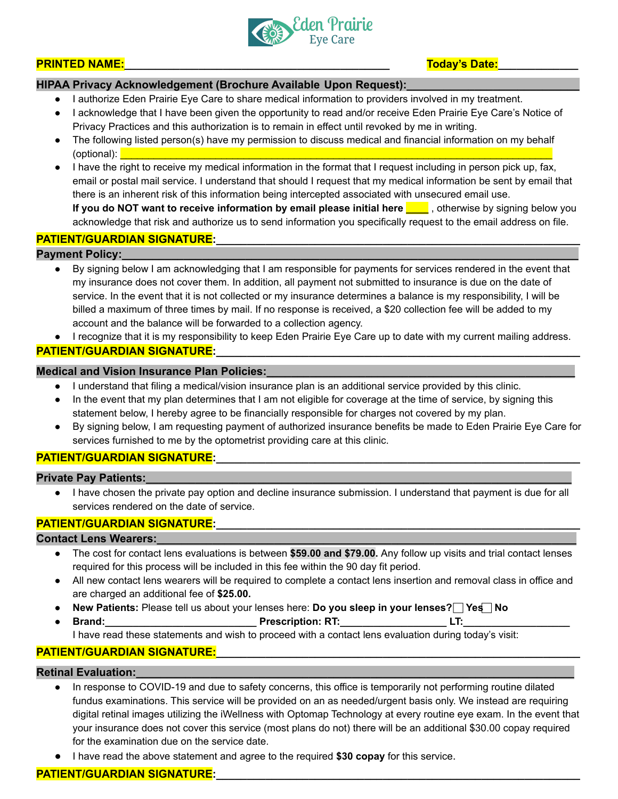

#### **PRINTED NAME:\_\_\_\_\_\_\_\_\_\_\_\_\_\_\_\_\_\_\_\_\_\_\_\_\_\_\_\_\_\_\_\_\_\_\_\_\_\_\_\_\_\_\_ Today's Date:\_\_\_\_\_\_\_\_\_\_\_\_\_**

# **HIPAA Privacy Acknowledgement (Brochure Available Upon Request):\_\_\_\_\_\_\_\_\_\_\_\_\_\_\_\_\_\_\_\_\_\_\_\_\_\_\_\_**

- I authorize Eden Prairie Eye Care to share medical information to providers involved in my treatment.
- I acknowledge that I have been given the opportunity to read and/or receive Eden Prairie Eye Care's Notice of Privacy Practices and this authorization is to remain in effect until revoked by me in writing.
- The following listed person(s) have my permission to discuss medical and financial information on my behalf (optional): \_\_\_\_\_\_\_\_\_\_\_\_\_\_\_\_\_\_\_\_\_\_\_\_\_\_\_\_\_\_\_\_\_\_\_\_\_\_\_\_\_\_\_\_\_\_\_\_\_\_\_\_\_\_\_\_\_\_\_\_\_\_\_\_\_\_\_\_\_\_\_\_\_\_\_\_\_
- I have the right to receive my medical information in the format that I request including in person pick up, fax, email or postal mail service. I understand that should I request that my medical information be sent by email that there is an inherent risk of this information being intercepted associated with unsecured email use. **If you do NOT want to receive information by email please initial here \_\_\_\_** , otherwise by signing below you acknowledge that risk and authorize us to send information you specifically request to the email address on file.

#### PATIENT/GUARDIAN SIGNATURE:

#### **Payment Policy:**

- By signing below I am acknowledging that I am responsible for payments for services rendered in the event that my insurance does not cover them. In addition, all payment not submitted to insurance is due on the date of service. In the event that it is not collected or my insurance determines a balance is my responsibility, I will be billed a maximum of three times by mail. If no response is received, a \$20 collection fee will be added to my account and the balance will be forwarded to a collection agency.
- I recognize that it is my responsibility to keep Eden Prairie Eye Care up to date with my current mailing address.

# PATIENT/GUARDIAN SIGNATURE:

### **Medical and Vision Insurance Plan Policies:**

- I understand that filing a medical/vision insurance plan is an additional service provided by this clinic.
- In the event that my plan determines that I am not eligible for coverage at the time of service, by signing this statement below, I hereby agree to be financially responsible for charges not covered by my plan.
- By signing below, I am requesting payment of authorized insurance benefits be made to Eden Prairie Eye Care for services furnished to me by the optometrist providing care at this clinic.

### PATIENT/GUARDIAN SIGNATURE:

#### **Private Pay Patients:\_\_\_\_\_\_\_\_\_\_\_\_\_\_\_\_\_\_\_\_\_\_\_\_\_\_\_\_\_\_\_\_\_\_\_\_\_\_\_\_\_\_\_\_\_\_\_\_\_\_\_\_\_\_\_\_\_\_\_\_\_\_\_\_\_\_\_\_\_**

● I have chosen the private pay option and decline insurance submission. I understand that payment is due for all services rendered on the date of service.

## PATIENT/GUARDIAN SIGNATURE:

#### **Contact Lens Wearers:**

- The cost for contact lens evaluations is between **\$59.00 and \$79.00.** Any follow up visits and trial contact lenses required for this process will be included in this fee within the 90 day fit period.
- All new contact lens wearers will be required to complete a contact lens insertion and removal class in office and are charged an additional fee of **\$25.00.**
- **New Patients:** Please tell us about your lenses here: **Do you sleep in your lenses? ⃞Yes ⃞No**
- **● Brand:\_\_\_\_\_\_\_\_\_\_\_\_\_\_\_\_\_\_\_\_\_\_\_\_\_\_\_ Prescription: RT:\_\_\_\_\_\_\_\_\_\_\_\_\_\_\_\_\_\_\_ LT:\_\_\_\_\_\_\_\_\_\_\_\_\_\_\_\_\_\_\_** I have read these statements and wish to proceed with a contact lens evaluation during today's visit:

# **PATIENT/GUARDIAN SIGNATURE:\_\_\_\_\_\_\_\_\_\_\_\_\_\_\_\_\_\_\_\_\_\_\_\_\_\_\_\_\_\_\_\_\_\_\_\_\_\_\_\_\_\_\_\_\_\_\_\_\_\_\_\_\_\_\_\_\_\_\_**

### **Retinal Evaluation:\_\_\_\_\_\_\_\_\_\_\_\_\_\_\_\_\_\_\_\_\_\_\_\_\_\_\_\_\_\_\_\_\_\_\_\_\_\_\_\_\_\_\_\_\_\_\_\_\_\_\_\_\_\_\_\_\_\_\_\_\_\_\_\_\_\_\_\_\_\_\_**

- In response to COVID-19 and due to safety concerns, this office is temporarily not performing routine dilated fundus examinations. This service will be provided on an as needed/urgent basis only. We instead are requiring digital retinal images utilizing the iWellness with Optomap Technology at every routine eye exam. In the event that your insurance does not cover this service (most plans do not) there will be an additional \$30.00 copay required for the examination due on the service date.
- I have read the above statement and agree to the required **\$30 copay** for this service.

# PATIENT/GUARDIAN SIGNATURE: